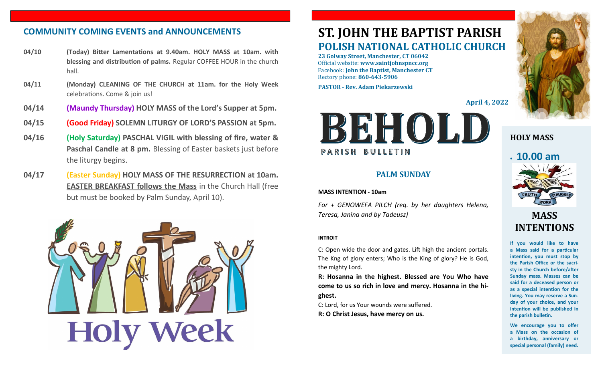## **COMMUNITY COMING EVENTS and ANNOUNCEMENTS ST. JOHN THE BAPTIST PARISH**

- **04/10 (Today) Bitter Lamentations at 9.40am. HOLY MASS at 10am. with blessing and distribution of palms.** Regular COFFEE HOUR in the church hall.
- **04/11 (Monday) CLEANING OF THE CHURCH at 11am. for the Holy Week**  celebrations. Come & join us!
- **04/14 (Maundy Thursday) HOLY MASS of the Lord's Supper at 5pm.**
- **04/15 (Good Friday) SOLEMN LITURGY OF LORD'S PASSION at 5pm.**
- **04/16 (Holy Saturday) PASCHAL VIGIL with blessing of fire, water & Paschal Candle at 8 pm.** Blessing of Easter baskets just before the liturgy begins.
- **04/17 (Easter Sunday) HOLY MASS OF THE RESURRECTION at 10am. EASTER BREAKFAST follows the Mass** in the Church Hall (free but must be booked by Palm Sunday, April 10).



# **POLISH NATIONAL CATHOLIC CHURCH**

**23 Golway Street, Manchester, CT 06042** Official website: **www.saintjohnspncc.org** Facebook: **John the Baptist, Manchester CT** Rectory phone: **860-643-5906** 

**PASTOR - Rev. Adam Piekarzewski**

**April 4, 2022**



#### **PALM SUNDAY**

#### **MASS INTENTION - 10am**

*For + GENOWEFA PILCH (req. by her daughters Helena, Teresa, Janina and by Tadeusz)*

#### **INTROIT**

C: Open wide the door and gates. Lift high the ancient portals. The Kng of glory enters; Who is the King of glory? He is God, the mighty Lord.

**R: Hosanna in the highest. Blessed are You Who have come to us so rich in love and mercy. Hosanna in the highest.**

C: Lord, for us Your wounds were suffered. **R: O Christ Jesus, have mercy on us.**



## **HOLY MASS**

# • **10.00 am**



# **MASS INTENTIONS**

**If you would like to have a Mass said for a particular intention, you must stop by the Parish Office or the sacristy in the Church before/after Sunday mass. Masses can be said for a deceased person or as a special intention for the living. You may reserve a Sunday of your choice, and your intention will be published in the parish bulletin.**

**We encourage you to offer a Mass on the occasion of a birthday, anniversary or special personal (family) need.**